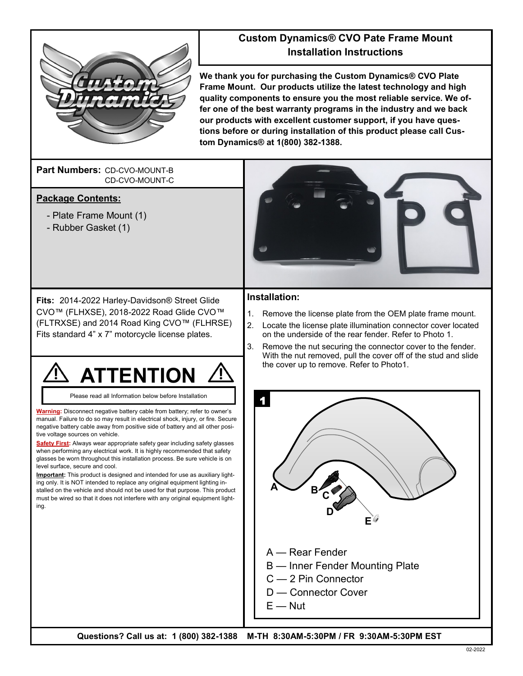

### **Custom Dynamics® CVO Pate Frame Mount Installation Instructions**

**We thank you for purchasing the Custom Dynamics® CVO Plate Frame Mount. Our products utilize the latest technology and high quality components to ensure you the most reliable service. We offer one of the best warranty programs in the industry and we back our products with excellent customer support, if you have questions before or during installation of this product please call Custom Dynamics® at 1(800) 382-1388.**

Part Numbers: CD-CVO-MOUNT-B CD-CVO-MOUNT-C

### **Package Contents:**

- Plate Frame Mount (1)
- Rubber Gasket (1)



**Fits:** 2014-2022 Harley-Davidson® Street Glide CVO™ (FLHXSE), 2018-2022 Road Glide CVO™ (FLTRXSE) and 2014 Road King CVO™ (FLHRSE) Fits standard 4" x 7" motorcycle license plates.



Please read all Information below before Installation

**Warning:** Disconnect negative battery cable from battery; refer to owner's manual. Failure to do so may result in electrical shock, injury, or fire. Secure negative battery cable away from positive side of battery and all other positive voltage sources on vehicle.

**Safety First:** Always wear appropriate safety gear including safety glasses when performing any electrical work. It is highly recommended that safety glasses be worn throughout this installation process. Be sure vehicle is on level surface, secure and cool.

**Important:** This product is designed and intended for use as auxiliary lighting only. It is NOT intended to replace any original equipment lighting installed on the vehicle and should not be used for that purpose. This product must be wired so that it does not interfere with any original equipment lighting.

# **Installation:**

- 1. Remove the license plate from the OEM plate frame mount.
- 2. Locate the license plate illumination connector cover located on the underside of the rear fender. Refer to Photo 1.
- 3. Remove the nut securing the connector cover to the fender. With the nut removed, pull the cover off of the stud and slide the cover up to remove. Refer to Photo1.



**Questions? Call us at: 1 (800) 382-1388 M-TH 8:30AM-5:30PM / FR 9:30AM-5:30PM EST**